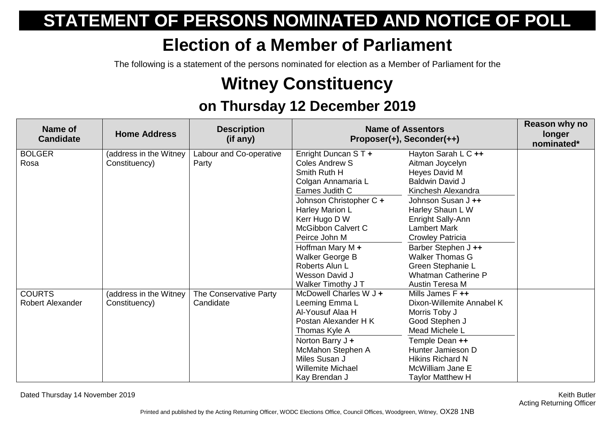## **STATEMENT OF PERSONS NOMINATED AND NOTICE OF POLL**

## **Election of a Member of Parliament**

The following is a statement of the persons nominated for election as a Member of Parliament for the

## **Witney Constituency**

## **on Thursday 12 December 2019**

| Name of<br><b>Candidate</b>       | <b>Home Address</b>                     | <b>Description</b><br>(if any)      | <b>Name of Assentors</b><br>Proposer(+), Seconder(++)                                                                                                                                                                                                                                                 |                                                                                                                                                                                                                                                                                                                                                 | Reason why no<br>longer<br>nominated* |
|-----------------------------------|-----------------------------------------|-------------------------------------|-------------------------------------------------------------------------------------------------------------------------------------------------------------------------------------------------------------------------------------------------------------------------------------------------------|-------------------------------------------------------------------------------------------------------------------------------------------------------------------------------------------------------------------------------------------------------------------------------------------------------------------------------------------------|---------------------------------------|
| <b>BOLGER</b><br>Rosa             | (address in the Witney<br>Constituency) | Labour and Co-operative<br>Party    | Enright Duncan ST +<br>Coles Andrew S<br>Smith Ruth H<br>Colgan Annamaria L<br>Eames Judith C<br>Johnson Christopher C +<br>Harley Marion L<br>Kerr Hugo D W<br>McGibbon Calvert C<br>Peirce John M<br>Hoffman Mary M $+$<br>Walker George B<br>Roberts Alun L<br>Wesson David J<br>Walker Timothy JT | Hayton Sarah L C ++<br>Aitman Joycelyn<br>Heyes David M<br><b>Baldwin David J</b><br>Kinchesh Alexandra<br>Johnson Susan J ++<br>Harley Shaun L W<br>Enright Sally-Ann<br><b>Lambert Mark</b><br><b>Crowley Patricia</b><br>Barber Stephen J ++<br><b>Walker Thomas G</b><br>Green Stephanie L<br><b>Whatman Catherine P</b><br>Austin Teresa M |                                       |
| <b>COURTS</b><br>Robert Alexander | (address in the Witney<br>Constituency) | The Conservative Party<br>Candidate | McDowell Charles W J +<br>Leeming Emma L<br>Al-Yousuf Alaa H<br>Postan Alexander H K<br>Thomas Kyle A<br>Norton Barry J +<br>McMahon Stephen A<br>Miles Susan J<br><b>Willemite Michael</b><br>Kay Brendan J                                                                                          | Mills James F ++<br>Dixon-Willemite Annabel K<br>Morris Toby J<br>Good Stephen J<br>Mead Michele L<br>Temple Dean ++<br>Hunter Jamieson D<br><b>Hikins Richard N</b><br>McWilliam Jane E<br><b>Taylor Matthew H</b>                                                                                                                             |                                       |

Dated Thursday 14 November 2019 Keith Butler

Acting Returning Officer